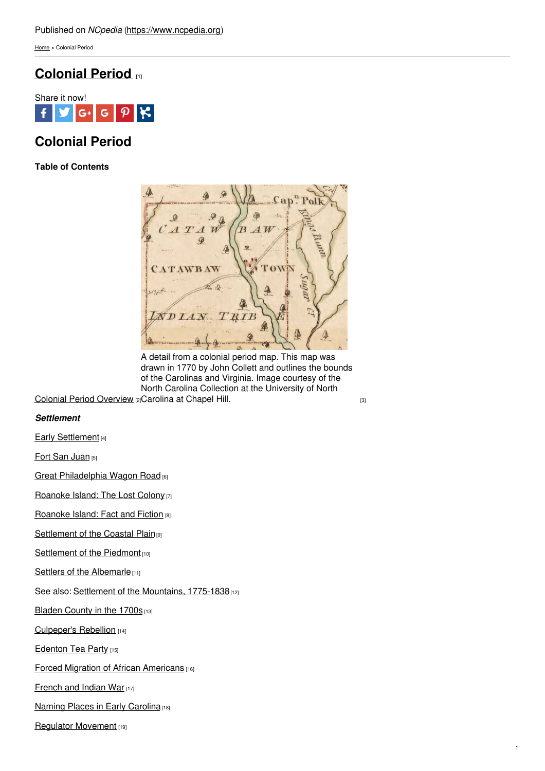[Home](https://www.ncpedia.org/) > Colonial Period

## **[Colonial](https://www.ncpedia.org/history/colonial) Period [1]**



# **Colonial Period**

**Table of Contents**



A detail from a colonial period map. This map was drawn in 1770 by John Collett and outlines the bounds of the Carolinas and Virginia. Image courtesy of the North Carolina Collection at the University of North

Colonial Period [Overview](https://www.ncpedia.org/colonial-period-overview) [2] [Carolina](https://dc.lib.unc.edu/cdm/ref/collection/ncmaps/id/467) at Chapel Hill. [3]

### *Settlement*

Early [Settlement](https://www.ncpedia.org/history/colonial/early-settlement) [4]

Fort San [Juan](https://www.ncpedia.org/history/colonial/fort-san-juan) [5]

Great [Philadelphia](https://www.ncpedia.org/history/colonial/philadelphia-wagon-road) Wagon Road [6]

[Roanoke](https://www.ncpedia.org/roanoke-island-first-english) Island: The Lost Colony [7]

[Roanoke](https://www.ncpedia.org/history/colonial/roanoke-fact-or-fiction) Island: Fact and Fiction [8]

[Settlement](https://www.ncpedia.org/history/colonial/coastal-plain) of the Coastal Plain<sup>[9]</sup>

[Settlement](https://www.ncpedia.org/history/colonial/piedmont) of the Piedmont [10]

Settlers of the [Albemarle](https://www.ncpedia.org/history/colonial/albemarle)<sup>[11]</sup>

See also: Settlement of the [Mountains,](https://www.ncpedia.org/history/1776-1860/mountain-settlement) 1775-1838 [12]

Bladen [County](https://www.ncpedia.org/bladen-county-1700s) in the 1700s [13]

[Culpeper's](https://www.ncpedia.org/culpepers-rebellion-0) Rebellion [14]

**[Edenton](https://www.ncpedia.org/edenton-tea-party-0) Tea Party [15]** 

**Forced Migration of African [Americans](https://www.ncpedia.org/history/forced-migration) [16]** 

[French](https://www.ncpedia.org/french-and-indian-war-0) and Indian War [17]

Naming Places in Early [Carolina](https://www.ncpedia.org/history/colonial/place-names)<sup>[18]</sup>

Regulator [Movement](https://www.ncpedia.org/history/colonial/regulator-movement) [19]